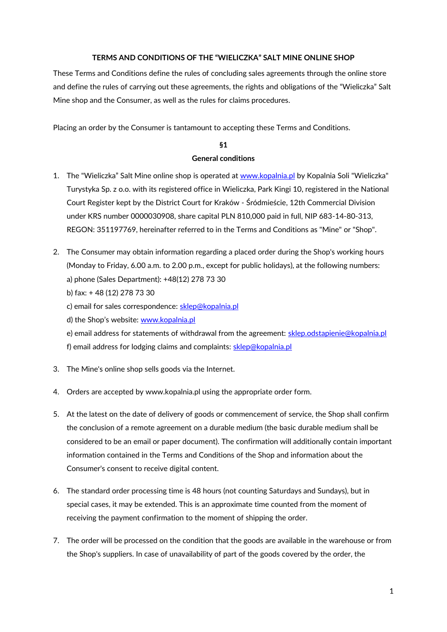### **TERMS AND CONDITIONS OF THE "WIELICZKA" SALT MINE ONLINE SHOP**

These Terms and Conditions define the rules of concluding sales agreements through the online store and define the rules of carrying out these agreements, the rights and obligations of the "Wieliczka" Salt Mine shop and the Consumer, as well as the rules for claims procedures.

Placing an order by the Consumer is tantamount to accepting these Terms and Conditions.

### **§1**

### **General conditions**

- 1. The "Wieliczka" Salt Mine online shop is operated at www.kopalnia.pl by Kopalnia Soli "Wieliczka" Turystyka Sp. z o.o. with its registered office in Wieliczka, Park Kingi 10, registered in the National Court Register kept by the District Court for Kraków - Śródmieście, 12th Commercial Division under KRS number 0000030908, share capital PLN 810,000 paid in full, NIP 683-14-80-313, REGON: 351197769, hereinafter referred to in the Terms and Conditions as "Mine" or "Shop".
- 2. The Consumer may obtain information regarding a placed order during the Shop's working hours (Monday to Friday, 6.00 a.m. to 2.00 p.m., except for public holidays), at the following numbers: a) phone (Sales Department): +48(12) 278 73 30
	- b) fax: + 48 (12) 278 73 30
	- c) email for sales correspondence: [sklep@kopalnia.pl](mailto:sklep@kopalnia.pl%20?preview)
	- d) the Shop's website: www.kopalnia.pl

e) email address for statements of withdrawal from the agreement: [sklep.odstapienie@kopalnia.pl](mailto:sklep.odstapienie@kopalnia.pl?preview) f) email address for lodging claims and complaints: [sklep@kopalnia.pl](mailto:sklep@kopalnia.pl?preview)

- 3. The Mine's online shop sells goods via the Internet.
- 4. Orders are accepted by www.kopalnia.pl using the appropriate order form.
- 5. At the latest on the date of delivery of goods or commencement of service, the Shop shall confirm the conclusion of a remote agreement on a durable medium (the basic durable medium shall be considered to be an email or paper document). The confirmation will additionally contain important information contained in the Terms and Conditions of the Shop and information about the Consumer's consent to receive digital content.
- 6. The standard order processing time is 48 hours (not counting Saturdays and Sundays), but in special cases, it may be extended. This is an approximate time counted from the moment of receiving the payment confirmation to the moment of shipping the order.
- 7. The order will be processed on the condition that the goods are available in the warehouse or from the Shop's suppliers. In case of unavailability of part of the goods covered by the order, the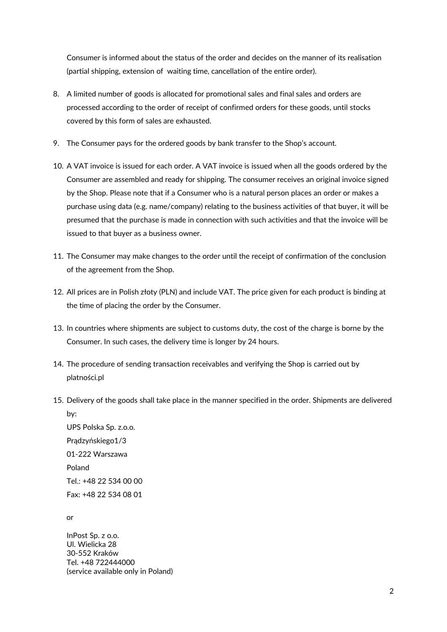Consumer is informed about the status of the order and decides on the manner of its realisation (partial shipping, extension of waiting time, cancellation of the entire order).

- 8. A limited number of goods is allocated for promotional sales and final sales and orders are processed according to the order of receipt of confirmed orders for these goods, until stocks covered by this form of sales are exhausted.
- 9. The Consumer pays for the ordered goods by bank transfer to the Shop's account.
- 10. A VAT invoice is issued for each order. A VAT invoice is issued when all the goods ordered by the Consumer are assembled and ready for shipping. The consumer receives an original invoice signed by the Shop. Please note that if a Consumer who is a natural person places an order or makes a purchase using data (e.g. name/company) relating to the business activities of that buyer, it will be presumed that the purchase is made in connection with such activities and that the invoice will be issued to that buyer as a business owner.
- 11. The Consumer may make changes to the order until the receipt of confirmation of the conclusion of the agreement from the Shop.
- 12. All prices are in Polish złoty (PLN) and include VAT. The price given for each product is binding at the time of placing the order by the Consumer.
- 13. In countries where shipments are subject to customs duty, the cost of the charge is borne by the Consumer. In such cases, the delivery time is longer by 24 hours.
- 14. The procedure of sending transaction receivables and verifying the Shop is carried out by platności.pl
- 15. Delivery of the goods shall take place in the manner specified in the order. Shipments are delivered by:

UPS Polska Sp. z.o.o. Prądzyńskiego1/3 01-222 Warszawa Poland Tel.: +48 22 534 00 00 Fax: +48 22 534 08 01

or

InPost Sp. z o.o. Ul. Wielicka 28 30-552 Kraków Tel. +48 722444000 (service available only in Poland)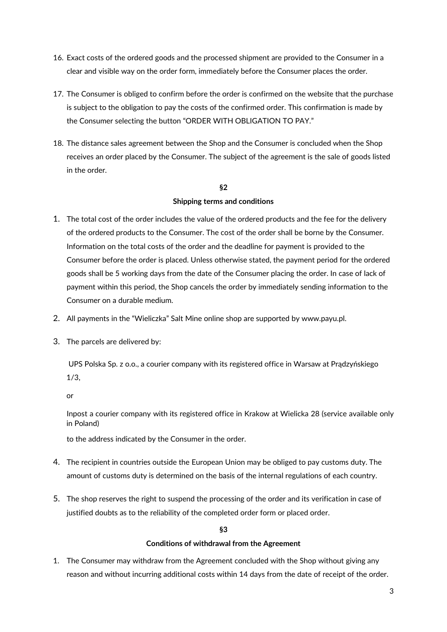- 16. Exact costs of the ordered goods and the processed shipment are provided to the Consumer in a clear and visible way on the order form, immediately before the Consumer places the order.
- 17. The Consumer is obliged to confirm before the order is confirmed on the website that the purchase is subject to the obligation to pay the costs of the confirmed order. This confirmation is made by the Consumer selecting the button "ORDER WITH OBLIGATION TO PAY."
- 18. The distance sales agreement between the Shop and the Consumer is concluded when the Shop receives an order placed by the Consumer. The subject of the agreement is the sale of goods listed in the order.

## **§2 Shipping terms and conditions**

- 1. The total cost of the order includes the value of the ordered products and the fee for the delivery of the ordered products to the Consumer. The cost of the order shall be borne by the Consumer. Information on the total costs of the order and the deadline for payment is provided to the Consumer before the order is placed. Unless otherwise stated, the payment period for the ordered goods shall be 5 working days from the date of the Consumer placing the order. In case of lack of payment within this period, the Shop cancels the order by immediately sending information to the Consumer on a durable medium.
- 2. All payments in the "Wieliczka" Salt Mine online shop are supported by www.payu.pl.
- 3. The parcels are delivered by:

UPS Polska Sp. z o.o., a courier company with its registered office in Warsaw at Prądzyńskiego 1/3,

or

Inpost a courier company with its registered office in Krakow at Wielicka 28 (service available only in Poland)

to the address indicated by the Consumer in the order.

- 4. The recipient in countries outside the European Union may be obliged to pay customs duty. The amount of customs duty is determined on the basis of the internal regulations of each country.
- 5. The shop reserves the right to suspend the processing of the order and its verification in case of justified doubts as to the reliability of the completed order form or placed order.

### **§3**

### **Conditions of withdrawal from the Agreement**

1. The Consumer may withdraw from the Agreement concluded with the Shop without giving any reason and without incurring additional costs within 14 days from the date of receipt of the order.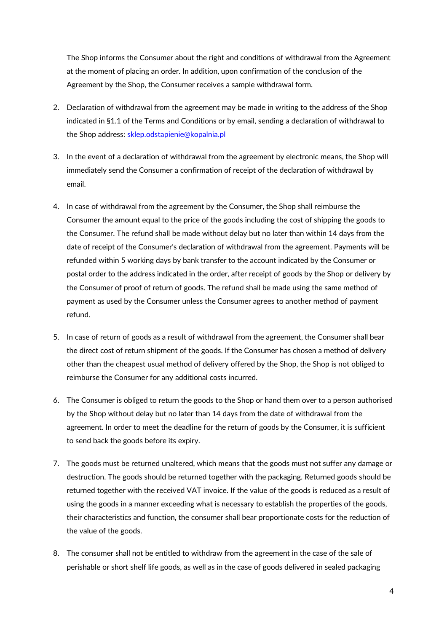The Shop informs the Consumer about the right and conditions of withdrawal from the Agreement at the moment of placing an order. In addition, upon confirmation of the conclusion of the Agreement by the Shop, the Consumer receives a sample withdrawal form.

- 2. Declaration of withdrawal from the agreement may be made in writing to the address of the Shop indicated in §1.1 of the Terms and Conditions or by email, sending a declaration of withdrawal to the Shop address: [sklep.odstapienie@kopalnia.pl](mailto:sklep.odstapienie@kopalnia.pl?preview)
- 3. In the event of a declaration of withdrawal from the agreement by electronic means, the Shop will immediately send the Consumer a confirmation of receipt of the declaration of withdrawal by email.
- 4. In case of withdrawal from the agreement by the Consumer, the Shop shall reimburse the Consumer the amount equal to the price of the goods including the cost of shipping the goods to the Consumer. The refund shall be made without delay but no later than within 14 days from the date of receipt of the Consumer's declaration of withdrawal from the agreement. Payments will be refunded within 5 working days by bank transfer to the account indicated by the Consumer or postal order to the address indicated in the order, after receipt of goods by the Shop or delivery by the Consumer of proof of return of goods. The refund shall be made using the same method of payment as used by the Consumer unless the Consumer agrees to another method of payment refund.
- 5. In case of return of goods as a result of withdrawal from the agreement, the Consumer shall bear the direct cost of return shipment of the goods. If the Consumer has chosen a method of delivery other than the cheapest usual method of delivery offered by the Shop, the Shop is not obliged to reimburse the Consumer for any additional costs incurred.
- 6. The Consumer is obliged to return the goods to the Shop or hand them over to a person authorised by the Shop without delay but no later than 14 days from the date of withdrawal from the agreement. In order to meet the deadline for the return of goods by the Consumer, it is sufficient to send back the goods before its expiry.
- 7. The goods must be returned unaltered, which means that the goods must not suffer any damage or destruction. The goods should be returned together with the packaging. Returned goods should be returned together with the received VAT invoice. If the value of the goods is reduced as a result of using the goods in a manner exceeding what is necessary to establish the properties of the goods, their characteristics and function, the consumer shall bear proportionate costs for the reduction of the value of the goods.
- 8. The consumer shall not be entitled to withdraw from the agreement in the case of the sale of perishable or short shelf life goods, as well as in the case of goods delivered in sealed packaging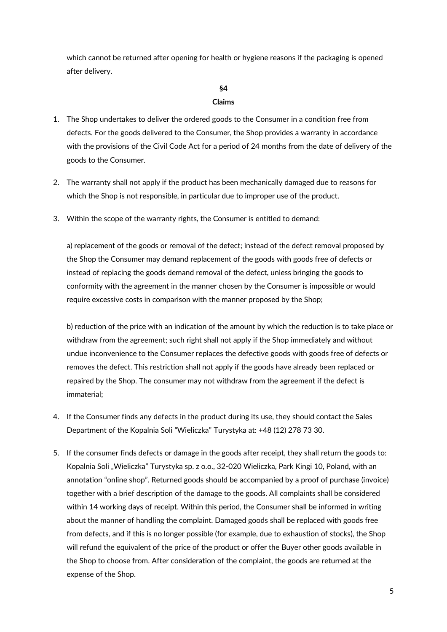which cannot be returned after opening for health or hygiene reasons if the packaging is opened after delivery.

# **§4**

### **Claims**

- 1. The Shop undertakes to deliver the ordered goods to the Consumer in a condition free from defects. For the goods delivered to the Consumer, the Shop provides a warranty in accordance with the provisions of the Civil Code Act for a period of 24 months from the date of delivery of the goods to the Consumer.
- 2. The warranty shall not apply if the product has been mechanically damaged due to reasons for which the Shop is not responsible, in particular due to improper use of the product.
- 3. Within the scope of the warranty rights, the Consumer is entitled to demand:

a) replacement of the goods or removal of the defect; instead of the defect removal proposed by the Shop the Consumer may demand replacement of the goods with goods free of defects or instead of replacing the goods demand removal of the defect, unless bringing the goods to conformity with the agreement in the manner chosen by the Consumer is impossible or would require excessive costs in comparison with the manner proposed by the Shop;

b) reduction of the price with an indication of the amount by which the reduction is to take place or withdraw from the agreement; such right shall not apply if the Shop immediately and without undue inconvenience to the Consumer replaces the defective goods with goods free of defects or removes the defect. This restriction shall not apply if the goods have already been replaced or repaired by the Shop. The consumer may not withdraw from the agreement if the defect is immaterial;

- 4. If the Consumer finds any defects in the product during its use, they should contact the Sales Department of the Kopalnia Soli "Wieliczka" Turystyka at: +48 (12) 278 73 30.
- 5. If the consumer finds defects or damage in the goods after receipt, they shall return the goods to: Kopalnia Soli "Wieliczka" Turystyka sp. z o.o., 32-020 Wieliczka, Park Kingi 10, Poland, with an annotation "online shop". Returned goods should be accompanied by a proof of purchase (invoice) together with a brief description of the damage to the goods. All complaints shall be considered within 14 working days of receipt. Within this period, the Consumer shall be informed in writing about the manner of handling the complaint. Damaged goods shall be replaced with goods free from defects, and if this is no longer possible (for example, due to exhaustion of stocks), the Shop will refund the equivalent of the price of the product or offer the Buyer other goods available in the Shop to choose from. After consideration of the complaint, the goods are returned at the expense of the Shop.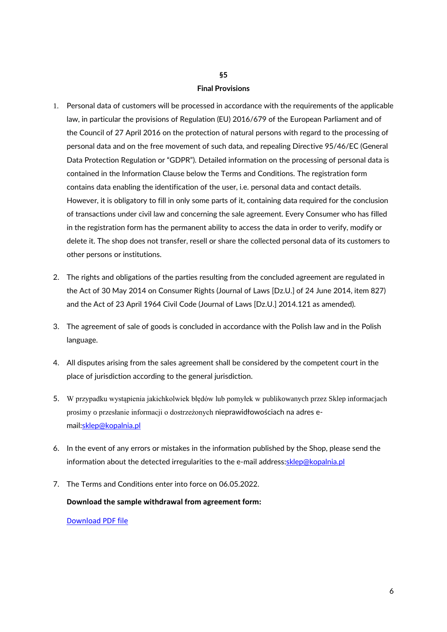## **§5 Final Provisions**

- 1. Personal data of customers will be processed in accordance with the requirements of the applicable law, in particular the provisions of Regulation (EU) 2016/679 of the European Parliament and of the Council of 27 April 2016 on the protection of natural persons with regard to the processing of personal data and on the free movement of such data, and repealing Directive 95/46/EC (General Data Protection Regulation or "GDPR"). Detailed information on the processing of personal data is contained in the Information Clause below the Terms and Conditions. The registration form contains data enabling the identification of the user, i.e. personal data and contact details. However, it is obligatory to fill in only some parts of it, containing data required for the conclusion of transactions under civil law and concerning the sale agreement. Every Consumer who has filled in the registration form has the permanent ability to access the data in order to verify, modify or delete it. The shop does not transfer, resell or share the collected personal data of its customers to other persons or institutions.
- 2. The rights and obligations of the parties resulting from the concluded agreement are regulated in the Act of 30 May 2014 on Consumer Rights (Journal of Laws [Dz.U.] of 24 June 2014, item 827) and the Act of 23 April 1964 Civil Code (Journal of Laws [Dz.U.] 2014.121 as amended).
- 3. The agreement of sale of goods is concluded in accordance with the Polish law and in the Polish language.
- 4. All disputes arising from the sales agreement shall be considered by the competent court in the place of jurisdiction according to the general jurisdiction.
- 5. W przypadku wystąpienia jakichkolwiek błędów lub pomyłek w publikowanych przez Sklep informacjach prosimy o przesłanie informacji o dostrzeżonych nieprawidłowościach na adres email[:sklep@kopalnia.pl](mailto:sklep@kopalnia.pl?preview)
- 6. In the event of any errors or mistakes in the information published by the Shop, please send the information about the detected irregularities to the e-mail address: sklep@kopalnia.pl
- 7. The Terms and Conditions enter into force on 06.05.2022.

#### **Download the sample withdrawal from agreement form:**

[Download PDF file](https://api.kopalnia.pl/storage/2021/15/withdrawal-from-agreement.pdf)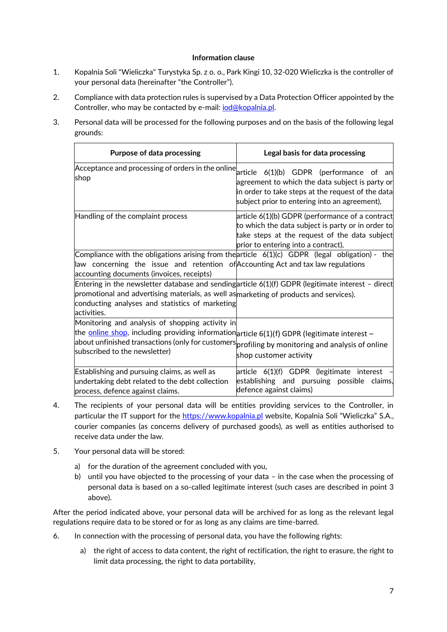### **Information clause**

- 1. Kopalnia Soli "Wieliczka" Turystyka Sp. z o. o., Park Kingi 10, 32-020 Wieliczka is the controller of your personal data (hereinafter "the Controller").
- 2. Compliance with data protection rules is supervised by a Data Protection Officer appointed by the Controller, who may be contacted by e-mail: *iod@kopalnia.pl.*
- 3. Personal data will be processed for the following purposes and on the basis of the following legal grounds:

| <b>Purpose of data processing</b>                                                                                                                                                                                                                                                    | Legal basis for data processing                                                                                                                                                              |
|--------------------------------------------------------------------------------------------------------------------------------------------------------------------------------------------------------------------------------------------------------------------------------------|----------------------------------------------------------------------------------------------------------------------------------------------------------------------------------------------|
| Acceptance and processing of orders in the online $ $ article 6(1)(b) GDPR (performance of an<br>shop                                                                                                                                                                                | agreement to which the data subject is party or<br>in order to take steps at the request of the data<br>subject prior to entering into an agreement),                                        |
| Handling of the complaint process                                                                                                                                                                                                                                                    | article 6(1)(b) GDPR (performance of a contract<br>to which the data subject is party or in order to<br>take steps at the request of the data subject<br>prior to entering into a contract), |
| Compliance with the obligations arising from the article $6(1)(c)$ GDPR (legal obligation) - the<br>$\parallel$ aw concerning the issue and retention of Accounting Act and tax law regulations<br>accounting documents (invoices, receipts)                                         |                                                                                                                                                                                              |
| Entering in the newsletter database and sending article $6(1)(f)$ GDPR (legitimate interest - direct<br>promotional and advertising materials, as well as marketing of products and services).<br>conducting analyses and statistics of marketing<br>activities.                     |                                                                                                                                                                                              |
| Monitoring and analysis of shopping activity in<br>the online shop, including providing information article 6(1)(f) GDPR (legitimate interest -<br>about unfinished transactions (only for customers profiling by monitoring and analysis of online<br>subscribed to the newsletter) | shop customer activity                                                                                                                                                                       |
| Establishing and pursuing claims, as well as<br>undertaking debt related to the debt collection<br>process, defence against claims.                                                                                                                                                  | article 6(1)(f) GDPR (legitimate interest<br>establishing and pursuing possible claims,<br>defence against claims)                                                                           |

- 4. The recipients of your personal data will be entities providing services to the Controller, in particular the IT support for the [https://www.kopalnia.pl](https://www.kopalnia.pl/) website, Kopalnia Soli "Wieliczka" S.A., courier companies (as concerns delivery of purchased goods), as well as entities authorised to receive data under the law.
- 5. Your personal data will be stored:
	- a) for the duration of the agreement concluded with you,
	- b) until you have objected to the processing of your data in the case when the processing of personal data is based on a so-called legitimate interest (such cases are described in point 3 above).

After the period indicated above, your personal data will be archived for as long as the relevant legal regulations require data to be stored or for as long as any claims are time-barred.

- 6. In connection with the processing of personal data, you have the following rights:
	- a) the right of access to data content, the right of rectification, the right to erasure, the right to limit data processing, the right to data portability,